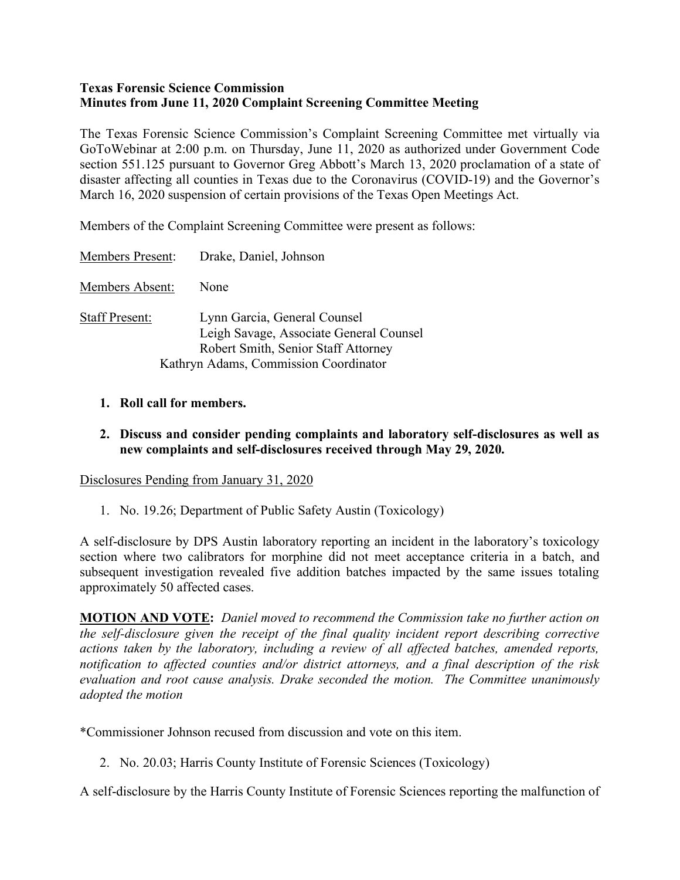## **Texas Forensic Science Commission Minutes from June 11, 2020 Complaint Screening Committee Meeting**

The Texas Forensic Science Commission's Complaint Screening Committee met virtually via GoToWebinar at 2:00 p.m. on Thursday, June 11, 2020 as authorized under Government Code section 551.125 pursuant to Governor Greg Abbott's March 13, 2020 proclamation of a state of disaster affecting all counties in Texas due to the Coronavirus (COVID-19) and the Governor's March 16, 2020 suspension of certain provisions of the Texas Open Meetings Act.

Members of the Complaint Screening Committee were present as follows:

Members Present: Drake, Daniel, Johnson

Members Absent: None

- Staff Present: Lynn Garcia, General Counsel Leigh Savage, Associate General Counsel Robert Smith, Senior Staff Attorney Kathryn Adams, Commission Coordinator
	- **1. Roll call for members.**
	- **2. Discuss and consider pending complaints and laboratory self-disclosures as well as new complaints and self-disclosures received through May 29, 2020.**

Disclosures Pending from January 31, 2020

1. No. 19.26; Department of Public Safety Austin (Toxicology)

A self-disclosure by DPS Austin laboratory reporting an incident in the laboratory's toxicology section where two calibrators for morphine did not meet acceptance criteria in a batch, and subsequent investigation revealed five addition batches impacted by the same issues totaling approximately 50 affected cases.

**MOTION AND VOTE:** *Daniel moved to recommend the Commission take no further action on the self-disclosure given the receipt of the final quality incident report describing corrective actions taken by the laboratory, including a review of all affected batches, amended reports, notification to affected counties and/or district attorneys, and a final description of the risk evaluation and root cause analysis. Drake seconded the motion. The Committee unanimously adopted the motion*

\*Commissioner Johnson recused from discussion and vote on this item.

2. No. 20.03; Harris County Institute of Forensic Sciences (Toxicology)

A self-disclosure by the Harris County Institute of Forensic Sciences reporting the malfunction of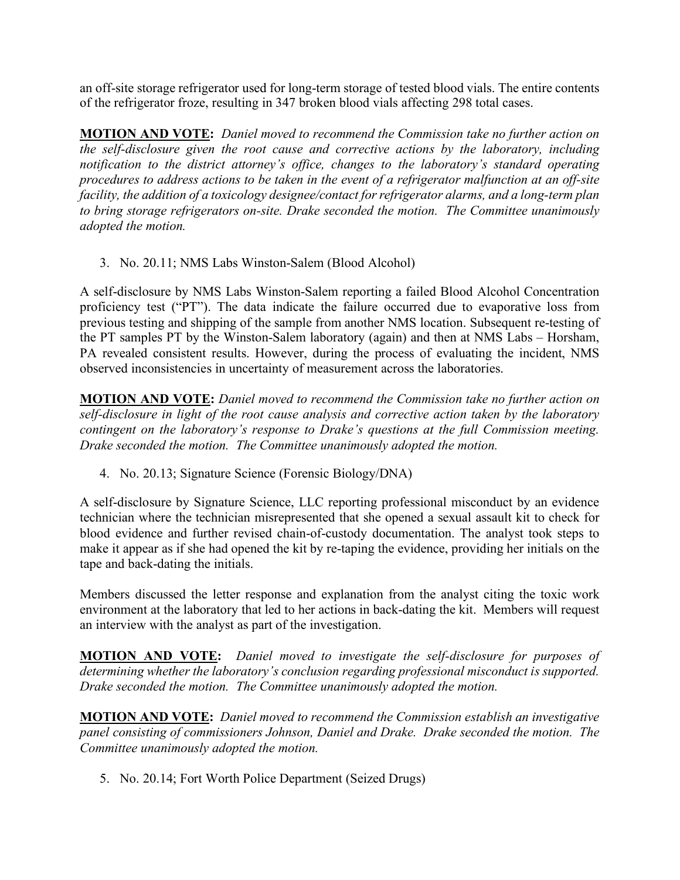an off-site storage refrigerator used for long-term storage of tested blood vials. The entire contents of the refrigerator froze, resulting in 347 broken blood vials affecting 298 total cases.

**MOTION AND VOTE:** *Daniel moved to recommend the Commission take no further action on the self-disclosure given the root cause and corrective actions by the laboratory, including notification to the district attorney's office, changes to the laboratory's standard operating procedures to address actions to be taken in the event of a refrigerator malfunction at an off-site facility, the addition of a toxicology designee/contact for refrigerator alarms, and a long-term plan to bring storage refrigerators on-site. Drake seconded the motion. The Committee unanimously adopted the motion.*

3. No. 20.11; NMS Labs Winston-Salem (Blood Alcohol)

A self-disclosure by NMS Labs Winston-Salem reporting a failed Blood Alcohol Concentration proficiency test ("PT"). The data indicate the failure occurred due to evaporative loss from previous testing and shipping of the sample from another NMS location. Subsequent re-testing of the PT samples PT by the Winston-Salem laboratory (again) and then at NMS Labs – Horsham, PA revealed consistent results. However, during the process of evaluating the incident, NMS observed inconsistencies in uncertainty of measurement across the laboratories.

**MOTION AND VOTE:** *Daniel moved to recommend the Commission take no further action on self-disclosure in light of the root cause analysis and corrective action taken by the laboratory contingent on the laboratory's response to Drake's questions at the full Commission meeting. Drake seconded the motion. The Committee unanimously adopted the motion.*

4. No. 20.13; Signature Science (Forensic Biology/DNA)

A self-disclosure by Signature Science, LLC reporting professional misconduct by an evidence technician where the technician misrepresented that she opened a sexual assault kit to check for blood evidence and further revised chain-of-custody documentation. The analyst took steps to make it appear as if she had opened the kit by re-taping the evidence, providing her initials on the tape and back-dating the initials.

Members discussed the letter response and explanation from the analyst citing the toxic work environment at the laboratory that led to her actions in back-dating the kit. Members will request an interview with the analyst as part of the investigation.

**MOTION AND VOTE:** *Daniel moved to investigate the self-disclosure for purposes of determining whether the laboratory's conclusion regarding professional misconduct is supported. Drake seconded the motion. The Committee unanimously adopted the motion.*

**MOTION AND VOTE:** *Daniel moved to recommend the Commission establish an investigative panel consisting of commissioners Johnson, Daniel and Drake. Drake seconded the motion. The Committee unanimously adopted the motion.*

5. No. 20.14; Fort Worth Police Department (Seized Drugs)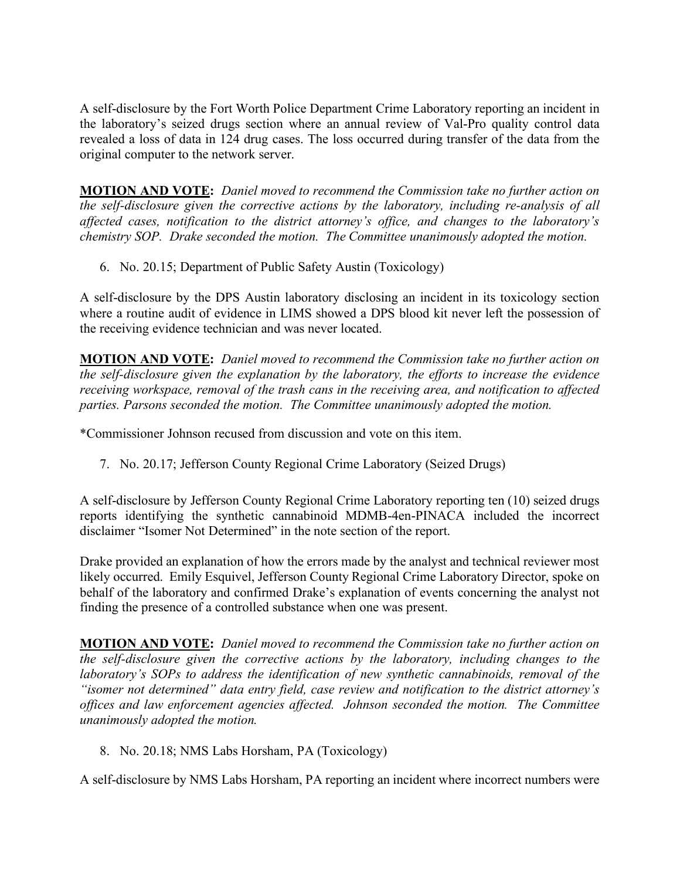A self-disclosure by the Fort Worth Police Department Crime Laboratory reporting an incident in the laboratory's seized drugs section where an annual review of Val-Pro quality control data revealed a loss of data in 124 drug cases. The loss occurred during transfer of the data from the original computer to the network server.

**MOTION AND VOTE:** *Daniel moved to recommend the Commission take no further action on the self-disclosure given the corrective actions by the laboratory, including re-analysis of all affected cases, notification to the district attorney's office, and changes to the laboratory's chemistry SOP. Drake seconded the motion. The Committee unanimously adopted the motion.*

6. No. 20.15; Department of Public Safety Austin (Toxicology)

A self-disclosure by the DPS Austin laboratory disclosing an incident in its toxicology section where a routine audit of evidence in LIMS showed a DPS blood kit never left the possession of the receiving evidence technician and was never located.

**MOTION AND VOTE:** *Daniel moved to recommend the Commission take no further action on the self-disclosure given the explanation by the laboratory, the efforts to increase the evidence receiving workspace, removal of the trash cans in the receiving area, and notification to affected parties. Parsons seconded the motion. The Committee unanimously adopted the motion.* 

\*Commissioner Johnson recused from discussion and vote on this item.

7. No. 20.17; Jefferson County Regional Crime Laboratory (Seized Drugs)

A self-disclosure by Jefferson County Regional Crime Laboratory reporting ten (10) seized drugs reports identifying the synthetic cannabinoid MDMB-4en-PINACA included the incorrect disclaimer "Isomer Not Determined" in the note section of the report.

Drake provided an explanation of how the errors made by the analyst and technical reviewer most likely occurred. Emily Esquivel, Jefferson County Regional Crime Laboratory Director, spoke on behalf of the laboratory and confirmed Drake's explanation of events concerning the analyst not finding the presence of a controlled substance when one was present.

**MOTION AND VOTE:** *Daniel moved to recommend the Commission take no further action on the self-disclosure given the corrective actions by the laboratory, including changes to the laboratory's SOPs to address the identification of new synthetic cannabinoids, removal of the "isomer not determined" data entry field, case review and notification to the district attorney's offices and law enforcement agencies affected. Johnson seconded the motion. The Committee unanimously adopted the motion.*

8. No. 20.18; NMS Labs Horsham, PA (Toxicology)

A self-disclosure by NMS Labs Horsham, PA reporting an incident where incorrect numbers were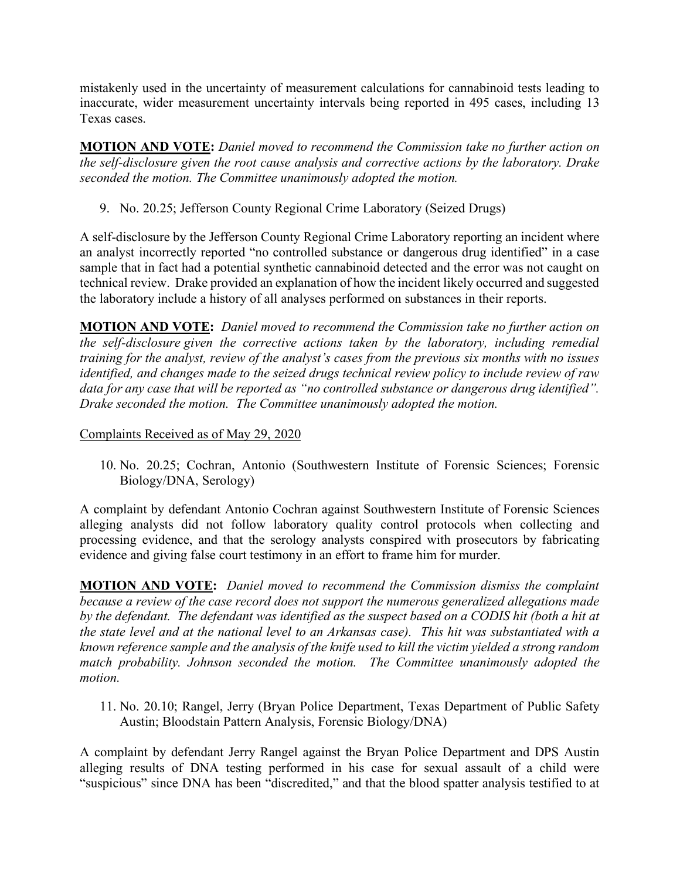mistakenly used in the uncertainty of measurement calculations for cannabinoid tests leading to inaccurate, wider measurement uncertainty intervals being reported in 495 cases, including 13 Texas cases.

**MOTION AND VOTE:** *Daniel moved to recommend the Commission take no further action on the self-disclosure given the root cause analysis and corrective actions by the laboratory. Drake seconded the motion. The Committee unanimously adopted the motion.*

9. No. 20.25; Jefferson County Regional Crime Laboratory (Seized Drugs)

A self-disclosure by the Jefferson County Regional Crime Laboratory reporting an incident where an analyst incorrectly reported "no controlled substance or dangerous drug identified" in a case sample that in fact had a potential synthetic cannabinoid detected and the error was not caught on technical review. Drake provided an explanation of how the incident likely occurred and suggested the laboratory include a history of all analyses performed on substances in their reports.

**MOTION AND VOTE:** *Daniel moved to recommend the Commission take no further action on the self-disclosure given the corrective actions taken by the laboratory, including remedial training for the analyst, review of the analyst's cases from the previous six months with no issues identified, and changes made to the seized drugs technical review policy to include review of raw data for any case that will be reported as "no controlled substance or dangerous drug identified". Drake seconded the motion. The Committee unanimously adopted the motion.* 

## Complaints Received as of May 29, 2020

10. No. 20.25; Cochran, Antonio (Southwestern Institute of Forensic Sciences; Forensic Biology/DNA, Serology)

A complaint by defendant Antonio Cochran against Southwestern Institute of Forensic Sciences alleging analysts did not follow laboratory quality control protocols when collecting and processing evidence, and that the serology analysts conspired with prosecutors by fabricating evidence and giving false court testimony in an effort to frame him for murder.

**MOTION AND VOTE:** *Daniel moved to recommend the Commission dismiss the complaint because a review of the case record does not support the numerous generalized allegations made*  by the defendant. The defendant was identified as the suspect based on a CODIS hit (both a hit at *the state level and at the national level to an Arkansas case). This hit was substantiated with a known reference sample and the analysis of the knife used to kill the victim yielded a strong random match probability. Johnson seconded the motion. The Committee unanimously adopted the motion.*

11. No. 20.10; Rangel, Jerry (Bryan Police Department, Texas Department of Public Safety Austin; Bloodstain Pattern Analysis, Forensic Biology/DNA)

A complaint by defendant Jerry Rangel against the Bryan Police Department and DPS Austin alleging results of DNA testing performed in his case for sexual assault of a child were "suspicious" since DNA has been "discredited," and that the blood spatter analysis testified to at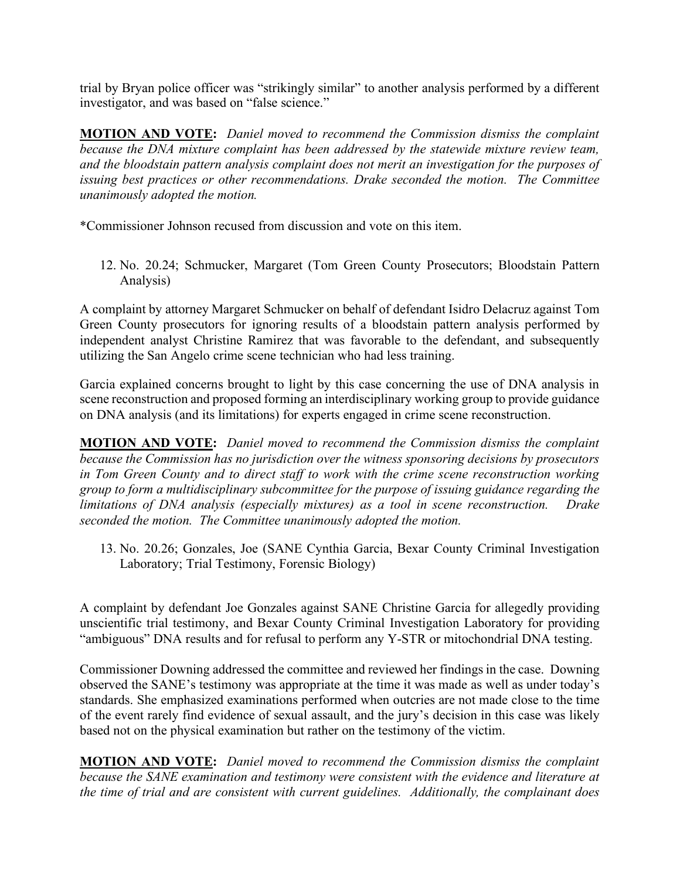trial by Bryan police officer was "strikingly similar" to another analysis performed by a different investigator, and was based on "false science."

**MOTION AND VOTE:** *Daniel moved to recommend the Commission dismiss the complaint because the DNA mixture complaint has been addressed by the statewide mixture review team, and the bloodstain pattern analysis complaint does not merit an investigation for the purposes of issuing best practices or other recommendations. Drake seconded the motion. The Committee unanimously adopted the motion.*

\*Commissioner Johnson recused from discussion and vote on this item.

12. No. 20.24; Schmucker, Margaret (Tom Green County Prosecutors; Bloodstain Pattern Analysis)

A complaint by attorney Margaret Schmucker on behalf of defendant Isidro Delacruz against Tom Green County prosecutors for ignoring results of a bloodstain pattern analysis performed by independent analyst Christine Ramirez that was favorable to the defendant, and subsequently utilizing the San Angelo crime scene technician who had less training.

Garcia explained concerns brought to light by this case concerning the use of DNA analysis in scene reconstruction and proposed forming an interdisciplinary working group to provide guidance on DNA analysis (and its limitations) for experts engaged in crime scene reconstruction.

**MOTION AND VOTE:** *Daniel moved to recommend the Commission dismiss the complaint because the Commission has no jurisdiction over the witness sponsoring decisions by prosecutors in Tom Green County and to direct staff to work with the crime scene reconstruction working group to form a multidisciplinary subcommittee for the purpose of issuing guidance regarding the limitations of DNA analysis (especially mixtures) as a tool in scene reconstruction. Drake seconded the motion. The Committee unanimously adopted the motion.* 

13. No. 20.26; Gonzales, Joe (SANE Cynthia Garcia, Bexar County Criminal Investigation Laboratory; Trial Testimony, Forensic Biology)

A complaint by defendant Joe Gonzales against SANE Christine Garcia for allegedly providing unscientific trial testimony, and Bexar County Criminal Investigation Laboratory for providing "ambiguous" DNA results and for refusal to perform any Y-STR or mitochondrial DNA testing.

Commissioner Downing addressed the committee and reviewed her findings in the case. Downing observed the SANE's testimony was appropriate at the time it was made as well as under today's standards. She emphasized examinations performed when outcries are not made close to the time of the event rarely find evidence of sexual assault, and the jury's decision in this case was likely based not on the physical examination but rather on the testimony of the victim.

**MOTION AND VOTE:** *Daniel moved to recommend the Commission dismiss the complaint because the SANE examination and testimony were consistent with the evidence and literature at the time of trial and are consistent with current guidelines. Additionally, the complainant does*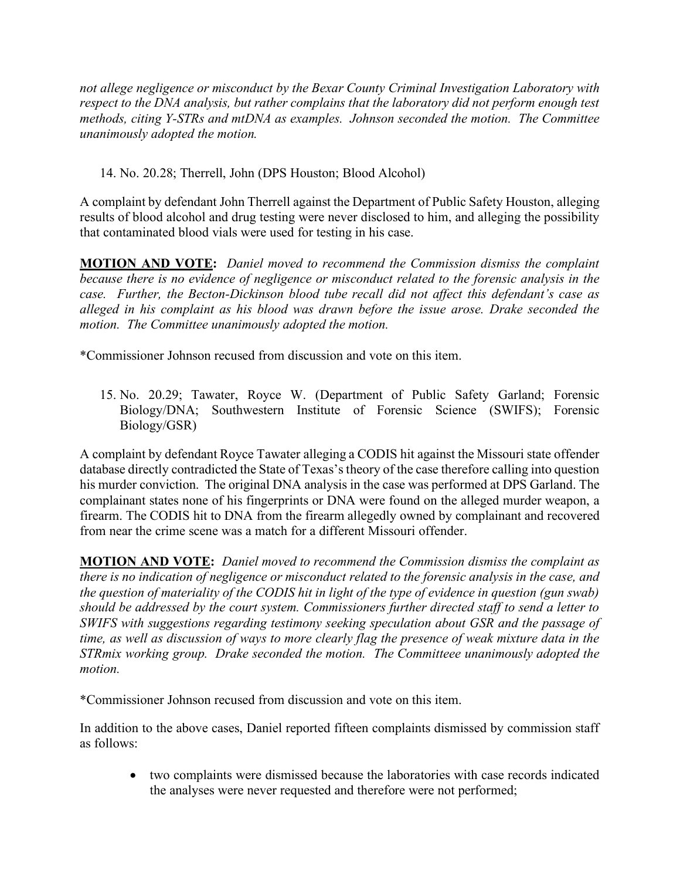*not allege negligence or misconduct by the Bexar County Criminal Investigation Laboratory with respect to the DNA analysis, but rather complains that the laboratory did not perform enough test methods, citing Y-STRs and mtDNA as examples. Johnson seconded the motion. The Committee unanimously adopted the motion.*

## 14. No. 20.28; Therrell, John (DPS Houston; Blood Alcohol)

A complaint by defendant John Therrell against the Department of Public Safety Houston, alleging results of blood alcohol and drug testing were never disclosed to him, and alleging the possibility that contaminated blood vials were used for testing in his case.

**MOTION AND VOTE:** *Daniel moved to recommend the Commission dismiss the complaint because there is no evidence of negligence or misconduct related to the forensic analysis in the case. Further, the Becton-Dickinson blood tube recall did not affect this defendant's case as alleged in his complaint as his blood was drawn before the issue arose. Drake seconded the motion. The Committee unanimously adopted the motion.*

\*Commissioner Johnson recused from discussion and vote on this item.

15. No. 20.29; Tawater, Royce W. (Department of Public Safety Garland; Forensic Biology/DNA; Southwestern Institute of Forensic Science (SWIFS); Forensic Biology/GSR)

A complaint by defendant Royce Tawater alleging a CODIS hit against the Missouri state offender database directly contradicted the State of Texas's theory of the case therefore calling into question his murder conviction. The original DNA analysis in the case was performed at DPS Garland. The complainant states none of his fingerprints or DNA were found on the alleged murder weapon, a firearm. The CODIS hit to DNA from the firearm allegedly owned by complainant and recovered from near the crime scene was a match for a different Missouri offender.

**MOTION AND VOTE:** *Daniel moved to recommend the Commission dismiss the complaint as there is no indication of negligence or misconduct related to the forensic analysis in the case, and the question of materiality of the CODIS hit in light of the type of evidence in question (gun swab) should be addressed by the court system. Commissioners further directed staff to send a letter to SWIFS with suggestions regarding testimony seeking speculation about GSR and the passage of time, as well as discussion of ways to more clearly flag the presence of weak mixture data in the STRmix working group. Drake seconded the motion. The Committeee unanimously adopted the motion.*

\*Commissioner Johnson recused from discussion and vote on this item.

In addition to the above cases, Daniel reported fifteen complaints dismissed by commission staff as follows:

• two complaints were dismissed because the laboratories with case records indicated the analyses were never requested and therefore were not performed;